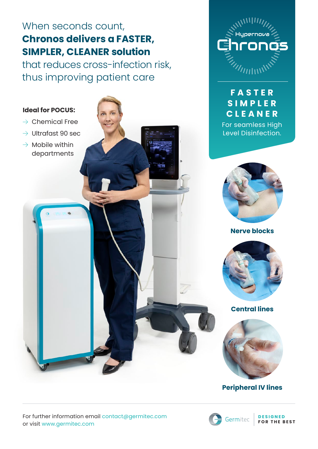# When seconds count, **Chronos delivers a FASTER, SIMPLER, CLEANER solution**

that reduces cross-infection risk, thus improving patient care

### **Ideal for POCUS:**

- $\rightarrow$  Chemical Free
- $\rightarrow$  Ultrafast 90 sec
- $\rightarrow$  Mobile within departments

# **F A S T E R S I M P L E R CLEANER**

For seamless High Level Disinfection.



**Nerve blocks**



**Central lines**



## **Peripheral IV lines**

For further information email contact@germitec.com or visit www.germitec.com